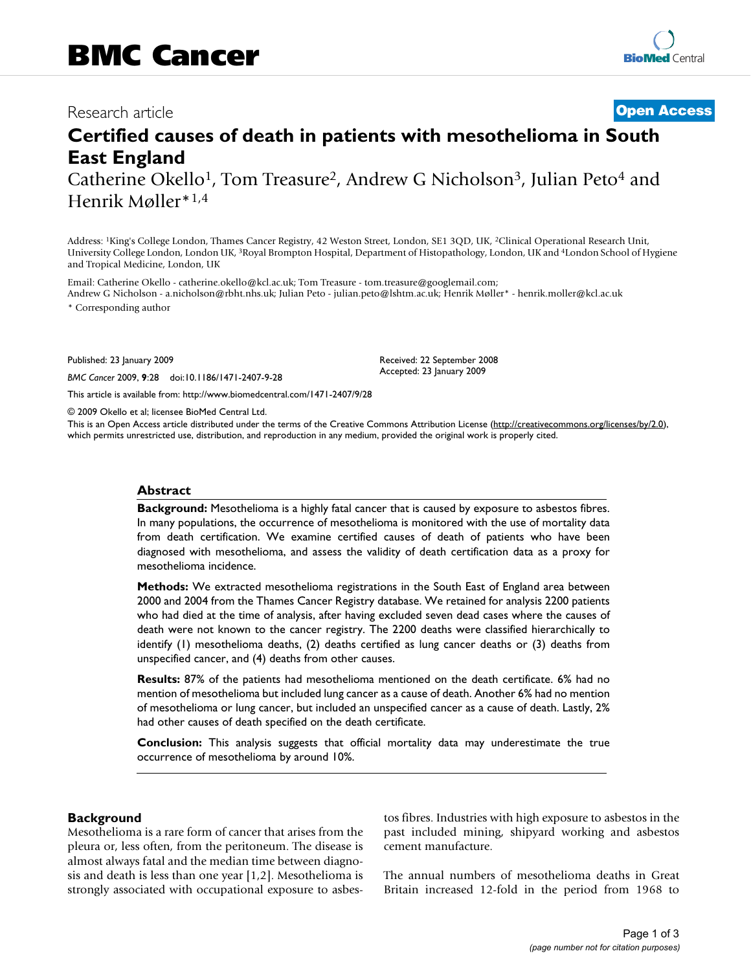## Research article **[Open Access](http://www.biomedcentral.com/info/about/charter/)**

# **Certified causes of death in patients with mesothelioma in South East England**

Catherine Okello<sup>1</sup>, Tom Treasure<sup>2</sup>, Andrew G Nicholson<sup>3</sup>, Julian Peto<sup>4</sup> and Henrik Møller\*1,4

Address: 1King's College London, Thames Cancer Registry, 42 Weston Street, London, SE1 3QD, UK, 2Clinical Operational Research Unit, University College London, London UK, 3Royal Brompton Hospital, Department of Histopathology, London, UK and 4London School of Hygiene and Tropical Medicine, London, UK

Email: Catherine Okello - catherine.okello@kcl.ac.uk; Tom Treasure - tom.treasure@googlemail.com; Andrew G Nicholson - a.nicholson@rbht.nhs.uk; Julian Peto - julian.peto@lshtm.ac.uk; Henrik Møller\* - henrik.moller@kcl.ac.uk \* Corresponding author

Published: 23 January 2009

*BMC Cancer* 2009, **9**:28 doi:10.1186/1471-2407-9-28

[This article is available from: http://www.biomedcentral.com/1471-2407/9/28](http://www.biomedcentral.com/1471-2407/9/28)

© 2009 Okello et al; licensee BioMed Central Ltd.

This is an Open Access article distributed under the terms of the Creative Commons Attribution License [\(http://creativecommons.org/licenses/by/2.0\)](http://creativecommons.org/licenses/by/2.0), which permits unrestricted use, distribution, and reproduction in any medium, provided the original work is properly cited.

Received: 22 September 2008 Accepted: 23 January 2009

#### **Abstract**

**Background:** Mesothelioma is a highly fatal cancer that is caused by exposure to asbestos fibres. In many populations, the occurrence of mesothelioma is monitored with the use of mortality data from death certification. We examine certified causes of death of patients who have been diagnosed with mesothelioma, and assess the validity of death certification data as a proxy for mesothelioma incidence.

**Methods:** We extracted mesothelioma registrations in the South East of England area between 2000 and 2004 from the Thames Cancer Registry database. We retained for analysis 2200 patients who had died at the time of analysis, after having excluded seven dead cases where the causes of death were not known to the cancer registry. The 2200 deaths were classified hierarchically to identify (1) mesothelioma deaths, (2) deaths certified as lung cancer deaths or (3) deaths from unspecified cancer, and (4) deaths from other causes.

**Results:** 87% of the patients had mesothelioma mentioned on the death certificate. 6% had no mention of mesothelioma but included lung cancer as a cause of death. Another 6% had no mention of mesothelioma or lung cancer, but included an unspecified cancer as a cause of death. Lastly, 2% had other causes of death specified on the death certificate.

**Conclusion:** This analysis suggests that official mortality data may underestimate the true occurrence of mesothelioma by around 10%.

#### **Background**

Mesothelioma is a rare form of cancer that arises from the pleura or, less often, from the peritoneum. The disease is almost always fatal and the median time between diagnosis and death is less than one year [1,2]. Mesothelioma is strongly associated with occupational exposure to asbestos fibres. Industries with high exposure to asbestos in the past included mining, shipyard working and asbestos cement manufacture.

The annual numbers of mesothelioma deaths in Great Britain increased 12-fold in the period from 1968 to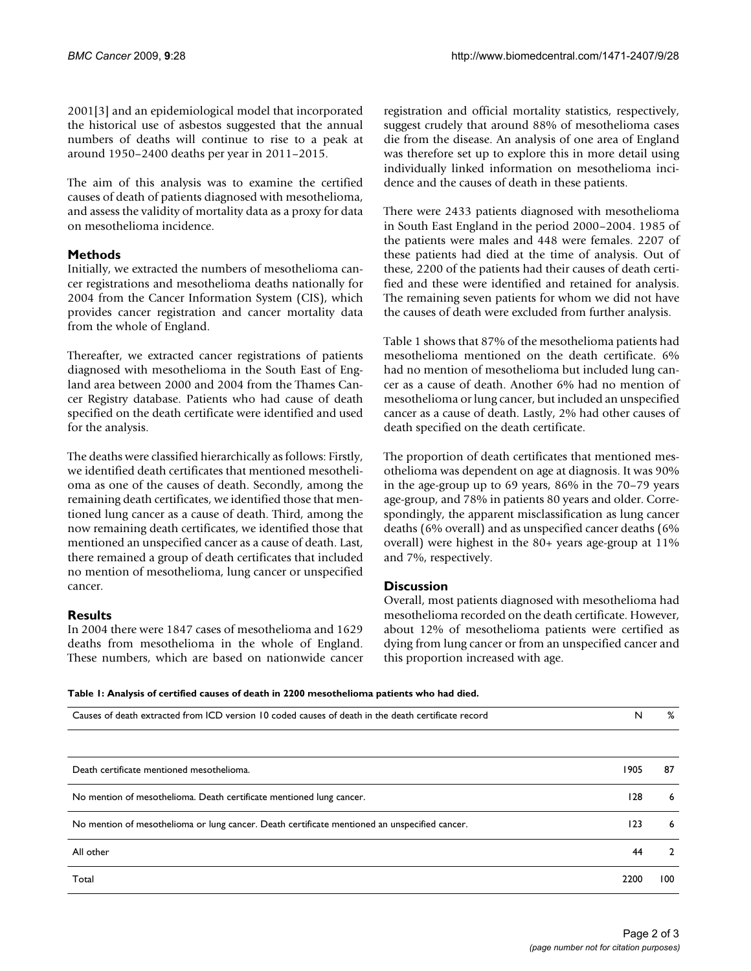2001[3] and an epidemiological model that incorporated the historical use of asbestos suggested that the annual numbers of deaths will continue to rise to a peak at around 1950–2400 deaths per year in 2011–2015.

The aim of this analysis was to examine the certified causes of death of patients diagnosed with mesothelioma, and assess the validity of mortality data as a proxy for data on mesothelioma incidence.

#### **Methods**

Initially, we extracted the numbers of mesothelioma cancer registrations and mesothelioma deaths nationally for 2004 from the Cancer Information System (CIS), which provides cancer registration and cancer mortality data from the whole of England.

Thereafter, we extracted cancer registrations of patients diagnosed with mesothelioma in the South East of England area between 2000 and 2004 from the Thames Cancer Registry database. Patients who had cause of death specified on the death certificate were identified and used for the analysis.

The deaths were classified hierarchically as follows: Firstly, we identified death certificates that mentioned mesothelioma as one of the causes of death. Secondly, among the remaining death certificates, we identified those that mentioned lung cancer as a cause of death. Third, among the now remaining death certificates, we identified those that mentioned an unspecified cancer as a cause of death. Last, there remained a group of death certificates that included no mention of mesothelioma, lung cancer or unspecified cancer.

### **Results**

In 2004 there were 1847 cases of mesothelioma and 1629 deaths from mesothelioma in the whole of England. These numbers, which are based on nationwide cancer registration and official mortality statistics, respectively, suggest crudely that around 88% of mesothelioma cases die from the disease. An analysis of one area of England was therefore set up to explore this in more detail using individually linked information on mesothelioma incidence and the causes of death in these patients.

There were 2433 patients diagnosed with mesothelioma in South East England in the period 2000–2004. 1985 of the patients were males and 448 were females. 2207 of these patients had died at the time of analysis. Out of these, 2200 of the patients had their causes of death certified and these were identified and retained for analysis. The remaining seven patients for whom we did not have the causes of death were excluded from further analysis.

Table 1 shows that 87% of the mesothelioma patients had mesothelioma mentioned on the death certificate. 6% had no mention of mesothelioma but included lung cancer as a cause of death. Another 6% had no mention of mesothelioma or lung cancer, but included an unspecified cancer as a cause of death. Lastly, 2% had other causes of death specified on the death certificate.

The proportion of death certificates that mentioned mesothelioma was dependent on age at diagnosis. It was 90% in the age-group up to 69 years, 86% in the 70–79 years age-group, and 78% in patients 80 years and older. Correspondingly, the apparent misclassification as lung cancer deaths (6% overall) and as unspecified cancer deaths (6% overall) were highest in the 80+ years age-group at 11% and 7%, respectively.

#### **Discussion**

Overall, most patients diagnosed with mesothelioma had mesothelioma recorded on the death certificate. However, about 12% of mesothelioma patients were certified as dying from lung cancer or from an unspecified cancer and this proportion increased with age.

**Table 1: Analysis of certified causes of death in 2200 mesothelioma patients who had died.**

| Causes of death extracted from ICD version 10 coded causes of death in the death certificate record | N    | %              |
|-----------------------------------------------------------------------------------------------------|------|----------------|
|                                                                                                     |      |                |
| Death certificate mentioned mesothelioma.                                                           | 1905 | 87             |
| No mention of mesothelioma. Death certificate mentioned lung cancer.                                | 128  | 6              |
| No mention of mesothelioma or lung cancer. Death certificate mentioned an unspecified cancer.       | 123  | 6              |
| All other                                                                                           | 44   | $\overline{2}$ |
| Total                                                                                               | 2200 | 100            |